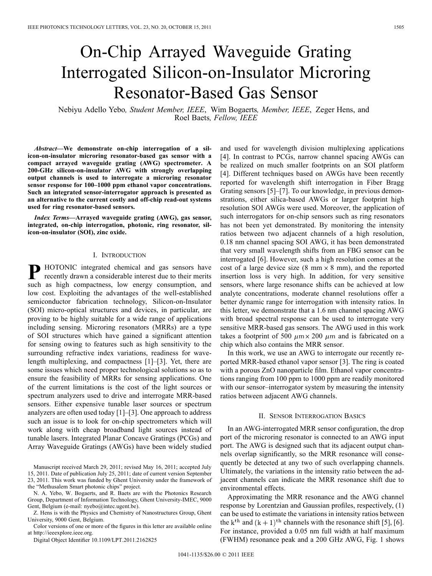# On-Chip Arrayed Waveguide Grating Interrogated Silicon-on-Insulator Microring Resonator-Based Gas Sensor

Nebiyu Adello Yebo*, Student Member, IEEE*, Wim Bogaerts*, Member, IEEE*, Zeger Hens, and Roel Baets*, Fellow, IEEE*

*Abstract—***We demonstrate on-chip interrogation of a silicon-on-insulator microring resonator-based gas sensor with a compact arrayed waveguide grating (AWG) spectrometer. A 200-GHz silicon-on-insulator AWG with strongly overlapping output channels is used to interrogate a microring resonator sensor response for 100–1000 ppm ethanol vapor concentrations. Such an integrated sensor-interrogator approach is presented as an alternative to the current costly and off-chip read-out systems used for ring resonator-based sensors.**

*Index Terms—***Arrayed waveguide grating (AWG), gas sensor, integrated, on-chip interrogation, photonic, ring resonator, silicon-on-insulator (SOI), zinc oxide.**

## I. INTRODUCTION

**P** HOTONIC integrated chemical and gas sensors have recently drawn a considerable interest due to their merits such as high compactness, low energy consumption, and low cost. Exploiting the advantages of the well-established semiconductor fabrication technology, Silicon-on-Insulator (SOI) micro-optical structures and devices, in particular, are proving to be highly suitable for a wide range of applications including sensing. Microring resonators (MRRs) are a type of SOI structures which have gained a significant attention for sensing owing to features such as high sensitivity to the surrounding refractive index variations, readiness for wavelength multiplexing, and compactness [1]–[3]. Yet, there are some issues which need proper technological solutions so as to ensure the feasibility of MRRs for sensing applications. One of the current limitations is the cost of the light sources or spectrum analyzers used to drive and interrogate MRR-based sensors. Either expensive tunable laser sources or spectrum analyzers are often used today [1]–[3]. One approach to address such an issue is to look for on-chip spectrometers which will work along with cheap broadband light sources instead of tunable lasers. Integrated Planar Concave Gratings (PCGs) and Array Waveguide Gratings (AWGs) have been widely studied

Manuscript received March 29, 2011; revised May 16, 2011; accepted July 15, 2011. Date of publication July 25, 2011; date of current version September 23, 2011. This work was funded by Ghent University under the framework of the "Methusalem Smart photonic chips" project.

N. A. Yebo, W. Bogaerts, and R. Baets are with the Photonics Research Group, Department of Information Technology, Ghent University-IMEC, 9000 Gent, Belgium (e-mail: nyebo@intec.ugent.be).

Z. Hens is with the Physics and Chemistry of Nanostructures Group, Ghent University, 9000 Gent, Belgium.

Color versions of one or more of the figures in this letter are available online at http://ieeexplore.ieee.org.

Digital Object Identifier 10.1109/LPT.2011.2162825

and used for wavelength division multiplexing applications [4]. In contrast to PCGs, narrow channel spacing AWGs can be realized on much smaller footprints on an SOI platform [4]. Different techniques based on AWGs have been recently reported for wavelength shift interrogation in Fiber Bragg Grating sensors [5]–[7]. To our knowledge, in previous demonstrations, either silica-based AWGs or larger footprint high resolution SOI AWGs were used. Moreover, the application of such interrogators for on-chip sensors such as ring resonators has not been yet demonstrated. By monitoring the intensity ratios between two adjacent channels of a high resolution, 0.18 nm channel spacing SOI AWG, it has been demonstrated that very small wavelength shifts from an FBG sensor can be interrogated [6]. However, such a high resolution comes at the cost of a large device size (8 mm  $\times$  8 mm), and the reported insertion loss is very high. In addition, for very sensitive sensors, where large resonance shifts can be achieved at low analyte concentrations, moderate channel resolutions offer a better dynamic range for interrogation with intensity ratios. In this letter, we demonstrate that a 1.6 nm channel spacing AWG with broad spectral response can be used to interrogate very sensitive MRR-based gas sensors. The AWG used in this work takes a footprint of 500  $\mu$ m × 200  $\mu$ m and is fabricated on a chip which also contains the MRR sensor.

In this work, we use an AWG to interrogate our recently reported MRR-based ethanol vapor sensor [3]. The ring is coated with a porous ZnO nanoparticle film. Ethanol vapor concentrations ranging from 100 ppm to 1000 ppm are readily monitored with our sensor–interrogator system by measuring the intensity ratios between adjacent AWG channels.

#### II. SENSOR INTERROGATION BASICS

In an AWG-interrogated MRR sensor configuration, the drop port of the microring resonator is connected to an AWG input port. The AWG is designed such that its adjacent output channels overlap significantly, so the MRR resonance will consequently be detected at any two of such overlapping channels. Ultimately, the variations in the intensity ratio between the adjacent channels can indicate the MRR resonance shift due to environmental effects.

Approximating the MRR resonance and the AWG channel response by Lorentzian and Gaussian profiles, respectively, (1) can be used to estimate the variations in intensity ratios between the k<sup>th</sup> and  $(k + 1)$ <sup>th</sup> channels with the resonance shift [5], [6]. For instance, provided a 0.05 nm full width at half maximum (FWHM) resonance peak and a 200 GHz AWG, Fig. 1 shows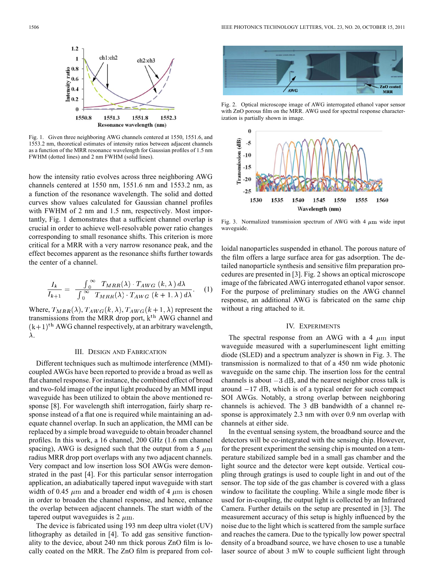

Fig. 1. Given three neighboring AWG channels centered at 1550, 1551.6, and 1553.2 nm, theoretical estimates of intensity ratios between adjacent channels as a function of the MRR resonance wavelength for Gaussian profiles of 1.5 nm FWHM (dotted lines) and 2 nm FWHM (solid lines).

how the intensity ratio evolves across three neighboring AWG channels centered at 1550 nm, 1551.6 nm and 1553.2 nm, as a function of the resonance wavelength. The solid and dotted curves show values calculated for Gaussian channel profiles with FWHM of 2 nm and 1.5 nm, respectively. Most importantly, Fig. 1 demonstrates that a sufficient channel overlap is crucial in order to achieve well-resolvable power ratio changes corresponding to small resonance shifts. This criterion is more critical for a MRR with a very narrow resonance peak, and the effect becomes apparent as the resonance shifts further towards the center of a channel.

$$
\frac{I_k}{I_{k+1}} = \frac{\int_0^\infty T_{MRR}(\lambda) \cdot T_{AWG} (k, \lambda) d\lambda}{\int_0^\infty T_{MRR}(\lambda) \cdot T_{AWG} (k+1, \lambda) d\lambda}.
$$
 (1)

Where,  $T_{MRR}(\lambda)$ ,  $T_{AWG}(k, \lambda)$ ,  $T_{AWG}(k+1, \lambda)$  represent the transmissions from the MRR drop port,  $k<sup>th</sup>$  AWG channel and  $(k+1)$ <sup>th</sup> AWG channel respectively, at an arbitrary wavelength,  $\lambda$ .

## III. DESIGN AND FABRICATION

Different techniques such as multimode interference (MMI) coupled AWGs have been reported to provide a broad as well as flat channel response. For instance, the combined effect of broad and two-fold image of the input light produced by an MMI input waveguide has been utilized to obtain the above mentioned response [8]. For wavelength shift interrogation, fairly sharp response instead of a flat one is required while maintaining an adequate channel overlap. In such an application, the MMI can be replaced by a simple broad waveguide to obtain broader channel profiles. In this work, a 16 channel, 200 GHz (1.6 nm channel spacing), AWG is designed such that the output from a 5  $\mu$ m radius MRR drop port overlaps with any two adjacent channels. Very compact and low insertion loss SOI AWGs were demonstrated in the past [4]. For this particular sensor interrogation application, an adiabatically tapered input waveguide with start width of 0.45  $\mu$ m and a broader end width of 4  $\mu$ m is chosen in order to broaden the channel response, and hence, enhance the overlap between adjacent channels. The start width of the tapered output waveguides is  $2 \mu m$ .

The device is fabricated using 193 nm deep ultra violet (UV) lithography as detailed in [4]. To add gas sensitive functionality to the device, about 240 nm thick porous ZnO film is locally coated on the MRR. The ZnO film is prepared from col-



Fig. 2. Optical microscope image of AWG interrogated ethanol vapor sensor with ZnO porous film on the MRR. AWG used for spectral response characterization is partially shown in image.



Fig. 3. Normalized transmission spectrum of AWG with 4  $\mu$ m wide input waveguide

loidal nanoparticles suspended in ethanol. The porous nature of the film offers a large surface area for gas adsorption. The detailed nanoparticle synthesis and sensitive film preparation procedures are presented in [3]. Fig. 2 shows an optical microscope image of the fabricated AWG interrogated ethanol vapor sensor. For the purpose of preliminary studies on the AWG channel response, an additional AWG is fabricated on the same chip without a ring attached to it.

# IV. EXPERIMENTS

The spectral response from an AWG with a 4  $\mu$ m input waveguide measured with a superluminescent light emitting diode (SLED) and a spectrum analyzer is shown in Fig. 3. The transmission is normalized to that of a 450 nm wide photonic waveguide on the same chip. The insertion loss for the central channels is about  $-3$  dB, and the nearest neighbor cross talk is around  $-17$  dB, which is of a typical order for such compact SOI AWGs. Notably, a strong overlap between neighboring channels is achieved. The 3 dB bandwidth of a channel response is approximately 2.3 nm with over 0.9 nm overlap with channels at either side.

In the eventual sensing system, the broadband source and the detectors will be co-integrated with the sensing chip. However, for the present experiment the sensing chip is mounted on a temperature stabilized sample bed in a small gas chamber and the light source and the detector were kept outside. Vertical coupling through gratings is used to couple light in and out of the sensor. The top side of the gas chamber is covered with a glass window to facilitate the coupling. While a single mode fiber is used for in-coupling, the output light is collected by an Infrared Camera. Further details on the setup are presented in [3]. The measurement accuracy of this setup is highly influenced by the noise due to the light which is scattered from the sample surface and reaches the camera. Due to the typically low power spectral density of a broadband source, we have chosen to use a tunable laser source of about 3 mW to couple sufficient light through